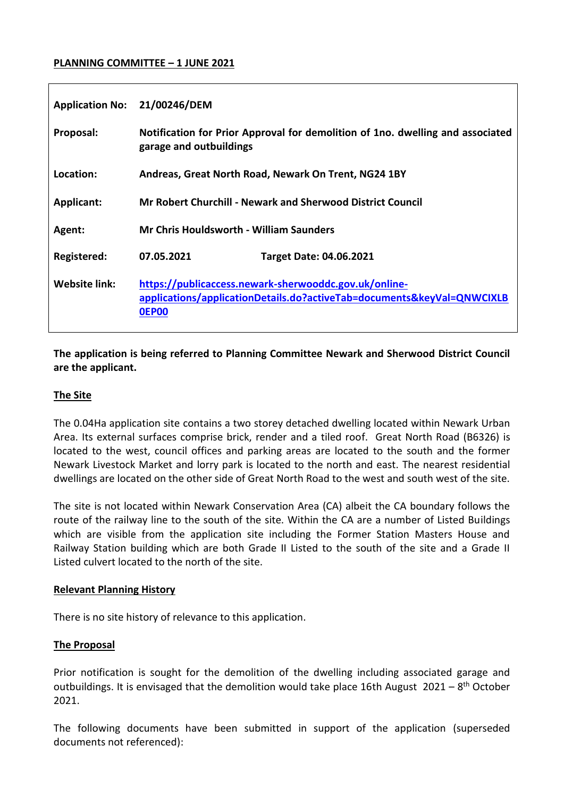## **PLANNING COMMITTEE – 1 JUNE 2021**

| <b>Application No:</b> | 21/00246/DEM                                                                                                                                    |
|------------------------|-------------------------------------------------------------------------------------------------------------------------------------------------|
| Proposal:              | Notification for Prior Approval for demolition of 1no. dwelling and associated<br>garage and outbuildings                                       |
| Location:              | Andreas, Great North Road, Newark On Trent, NG24 1BY                                                                                            |
| <b>Applicant:</b>      | <b>Mr Robert Churchill - Newark and Sherwood District Council</b>                                                                               |
| Agent:                 | <b>Mr Chris Houldsworth - William Saunders</b>                                                                                                  |
| <b>Registered:</b>     | 07.05.2021<br><b>Target Date: 04.06.2021</b>                                                                                                    |
| Website link:          | https://publicaccess.newark-sherwooddc.gov.uk/online-<br>applications/applicationDetails.do?activeTab=documents&keyVal=QNWCIXLB<br><b>OEP00</b> |

## **The application is being referred to Planning Committee Newark and Sherwood District Council are the applicant.**

## **The Site**

The 0.04Ha application site contains a two storey detached dwelling located within Newark Urban Area. Its external surfaces comprise brick, render and a tiled roof. Great North Road (B6326) is located to the west, council offices and parking areas are located to the south and the former Newark Livestock Market and lorry park is located to the north and east. The nearest residential dwellings are located on the other side of Great North Road to the west and south west of the site.

The site is not located within Newark Conservation Area (CA) albeit the CA boundary follows the route of the railway line to the south of the site. Within the CA are a number of Listed Buildings which are visible from the application site including the Former Station Masters House and Railway Station building which are both Grade II Listed to the south of the site and a Grade II Listed culvert located to the north of the site.

#### **Relevant Planning History**

There is no site history of relevance to this application.

## **The Proposal**

Prior notification is sought for the demolition of the dwelling including associated garage and outbuildings. It is envisaged that the demolition would take place 16th August 2021 - 8<sup>th</sup> October 2021.

The following documents have been submitted in support of the application (superseded documents not referenced):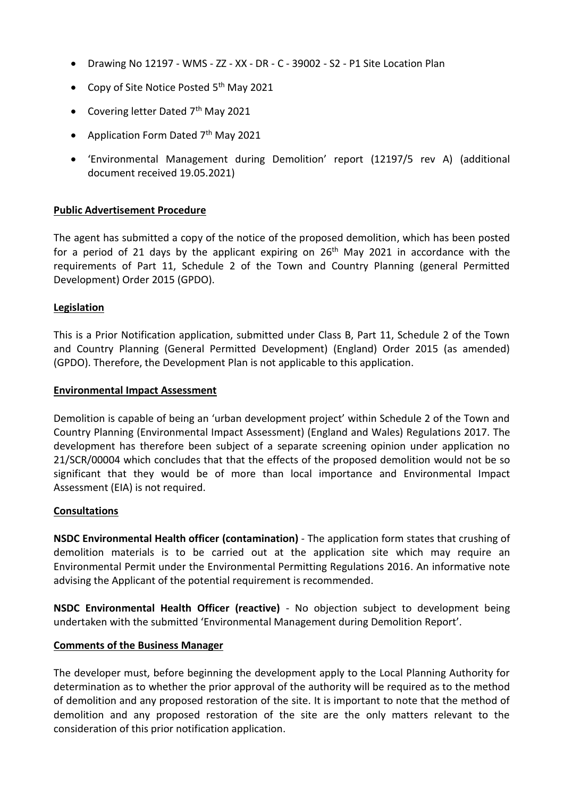- Drawing No 12197 WMS ZZ XX DR C 39002 S2 P1 Site Location Plan
- Copy of Site Notice Posted 5<sup>th</sup> May 2021
- Covering letter Dated  $7<sup>th</sup>$  May 2021
- Application Form Dated 7<sup>th</sup> May 2021
- 'Environmental Management during Demolition' report (12197/5 rev A) (additional document received 19.05.2021)

## **Public Advertisement Procedure**

The agent has submitted a copy of the notice of the proposed demolition, which has been posted for a period of 21 days by the applicant expiring on  $26<sup>th</sup>$  May 2021 in accordance with the requirements of Part 11, Schedule 2 of the Town and Country Planning (general Permitted Development) Order 2015 (GPDO).

### **Legislation**

This is a Prior Notification application, submitted under Class B, Part 11, Schedule 2 of the Town and Country Planning (General Permitted Development) (England) Order 2015 (as amended) (GPDO). Therefore, the Development Plan is not applicable to this application.

#### **Environmental Impact Assessment**

Demolition is capable of being an 'urban development project' within Schedule 2 of the Town and Country Planning (Environmental Impact Assessment) (England and Wales) Regulations 2017. The development has therefore been subject of a separate screening opinion under application no 21/SCR/00004 which concludes that that the effects of the proposed demolition would not be so significant that they would be of more than local importance and Environmental Impact Assessment (EIA) is not required.

#### **Consultations**

**NSDC Environmental Health officer (contamination)** - The application form states that crushing of demolition materials is to be carried out at the application site which may require an Environmental Permit under the Environmental Permitting Regulations 2016. An informative note advising the Applicant of the potential requirement is recommended.

**NSDC Environmental Health Officer (reactive)** - No objection subject to development being undertaken with the submitted 'Environmental Management during Demolition Report'.

#### **Comments of the Business Manager**

The developer must, before beginning the development apply to the Local Planning Authority for determination as to whether the prior approval of the authority will be required as to the method of demolition and any proposed restoration of the site. It is important to note that the method of demolition and any proposed restoration of the site are the only matters relevant to the consideration of this prior notification application.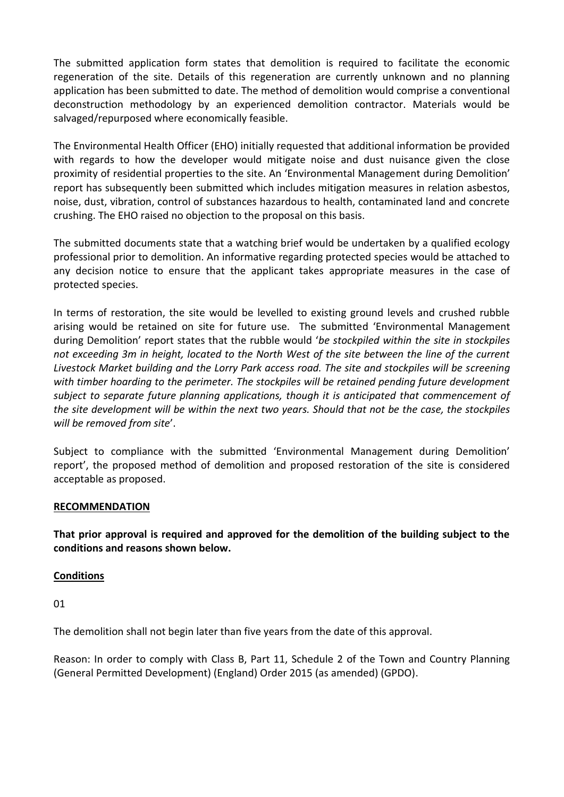The submitted application form states that demolition is required to facilitate the economic regeneration of the site. Details of this regeneration are currently unknown and no planning application has been submitted to date. The method of demolition would comprise a conventional deconstruction methodology by an experienced demolition contractor. Materials would be salvaged/repurposed where economically feasible.

The Environmental Health Officer (EHO) initially requested that additional information be provided with regards to how the developer would mitigate noise and dust nuisance given the close proximity of residential properties to the site. An 'Environmental Management during Demolition' report has subsequently been submitted which includes mitigation measures in relation asbestos, noise, dust, vibration, control of substances hazardous to health, contaminated land and concrete crushing. The EHO raised no objection to the proposal on this basis.

The submitted documents state that a watching brief would be undertaken by a qualified ecology professional prior to demolition. An informative regarding protected species would be attached to any decision notice to ensure that the applicant takes appropriate measures in the case of protected species.

In terms of restoration, the site would be levelled to existing ground levels and crushed rubble arising would be retained on site for future use. The submitted 'Environmental Management during Demolition' report states that the rubble would '*be stockpiled within the site in stockpiles not exceeding 3m in height, located to the North West of the site between the line of the current Livestock Market building and the Lorry Park access road. The site and stockpiles will be screening with timber hoarding to the perimeter. The stockpiles will be retained pending future development subject to separate future planning applications, though it is anticipated that commencement of the site development will be within the next two years. Should that not be the case, the stockpiles will be removed from site*'.

Subject to compliance with the submitted 'Environmental Management during Demolition' report', the proposed method of demolition and proposed restoration of the site is considered acceptable as proposed.

## **RECOMMENDATION**

**That prior approval is required and approved for the demolition of the building subject to the conditions and reasons shown below.**

## **Conditions**

01

The demolition shall not begin later than five years from the date of this approval.

Reason: In order to comply with Class B, Part 11, Schedule 2 of the Town and Country Planning (General Permitted Development) (England) Order 2015 (as amended) (GPDO).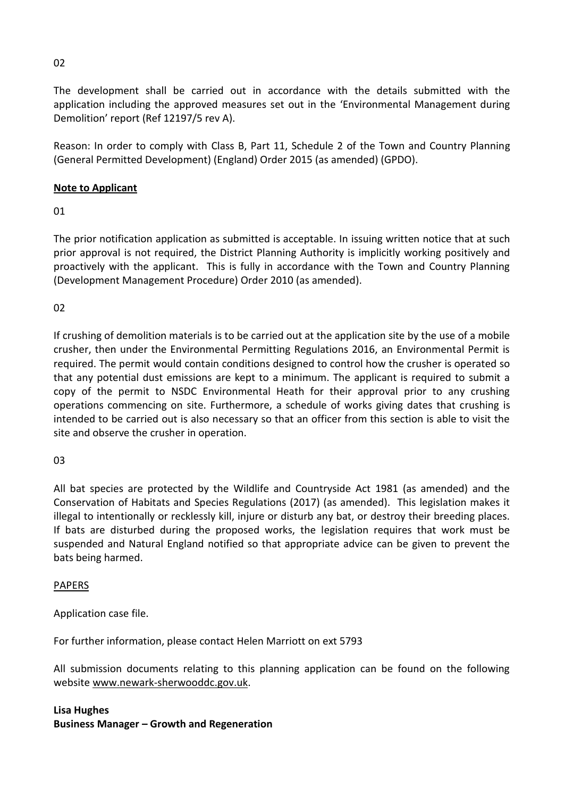The development shall be carried out in accordance with the details submitted with the application including the approved measures set out in the 'Environmental Management during Demolition' report (Ref 12197/5 rev A).

Reason: In order to comply with Class B, Part 11, Schedule 2 of the Town and Country Planning (General Permitted Development) (England) Order 2015 (as amended) (GPDO).

## **Note to Applicant**

01

The prior notification application as submitted is acceptable. In issuing written notice that at such prior approval is not required, the District Planning Authority is implicitly working positively and proactively with the applicant. This is fully in accordance with the Town and Country Planning (Development Management Procedure) Order 2010 (as amended).

02

If crushing of demolition materials is to be carried out at the application site by the use of a mobile crusher, then under the Environmental Permitting Regulations 2016, an Environmental Permit is required. The permit would contain conditions designed to control how the crusher is operated so that any potential dust emissions are kept to a minimum. The applicant is required to submit a copy of the permit to NSDC Environmental Heath for their approval prior to any crushing operations commencing on site. Furthermore, a schedule of works giving dates that crushing is intended to be carried out is also necessary so that an officer from this section is able to visit the site and observe the crusher in operation.

 $03$ 

All bat species are protected by the Wildlife and Countryside Act 1981 (as amended) and the Conservation of Habitats and Species Regulations (2017) (as amended). This legislation makes it illegal to intentionally or recklessly kill, injure or disturb any bat, or destroy their breeding places. If bats are disturbed during the proposed works, the legislation requires that work must be suspended and Natural England notified so that appropriate advice can be given to prevent the bats being harmed.

## PAPERS

Application case file.

For further information, please contact Helen Marriott on ext 5793

All submission documents relating to this planning application can be found on the following websit[e www.newark-sherwooddc.gov.uk.](http://www.newark-sherwooddc.gov.uk/)

# **Lisa Hughes Business Manager – Growth and Regeneration**

02